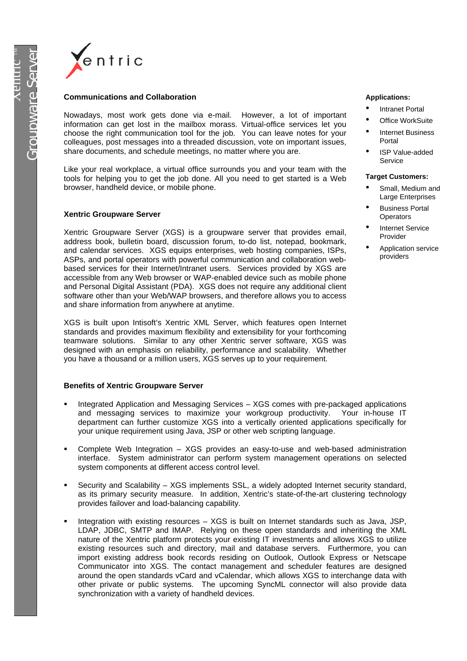

#### **Communications and Collaboration**

Nowadays, most work gets done via e-mail. However, a lot of important information can get lost in the mailbox morass. Virtual-office services let you choose the right communication tool for the job. You can leave notes for your colleagues, post messages into a threaded discussion, vote on important issues, share documents, and schedule meetings, no matter where you are.

Like your real workplace, a virtual office surrounds you and your team with the tools for helping you to get the job done. All you need to get started is a Web browser, handheld device, or mobile phone.

### **Xentric Groupware Server**

Xentric Groupware Server (XGS) is a groupware server that provides email, address book, bulletin board, discussion forum, to-do list, notepad, bookmark, and calendar services. XGS equips enterprises, web hosting companies, ISPs, ASPs, and portal operators with powerful communication and collaboration webbased services for their Internet/Intranet users. Services provided by XGS are accessible from any Web browser or WAP-enabled device such as mobile phone and Personal Digital Assistant (PDA). XGS does not require any additional client software other than your Web/WAP browsers, and therefore allows you to access and share information from anywhere at anytime.

XGS is built upon Intisoft's Xentric XML Server, which features open Internet standards and provides maximum flexibility and extensibility for your forthcoming teamware solutions. Similar to any other Xentric server software, XGS was designed with an emphasis on reliability, performance and scalability. Whether you have a thousand or a million users, XGS serves up to your requirement.

## **Benefits of Xentric Groupware Server**

- ß Integrated Application and Messaging Services XGS comes with pre-packaged applications and messaging services to maximize your workgroup productivity. Your in-house IT department can further customize XGS into a vertically oriented applications specifically for your unique requirement using Java, JSP or other web scripting language.
- ß Complete Web Integration XGS provides an easy-to-use and web-based administration interface. System administrator can perform system management operations on selected system components at different access control level.
- ß Security and Scalability XGS implements SSL, a widely adopted Internet security standard, as its primary security measure. In addition, Xentric's state-of-the-art clustering technology provides failover and load-balancing capability.
- ß Integration with existing resources XGS is built on Internet standards such as Java, JSP, LDAP, JDBC, SMTP and IMAP. Relying on these open standards and inheriting the XML nature of the Xentric platform protects your existing IT investments and allows XGS to utilize existing resources such and directory, mail and database servers. Furthermore, you can import existing address book records residing on Outlook, Outlook Express or Netscape Communicator into XGS. The contact management and scheduler features are designed around the open standards vCard and vCalendar, which allows XGS to interchange data with other private or public systems. The upcoming SyncML connector will also provide data synchronization with a variety of handheld devices.

#### **Applications:**

- Intranet Portal
- **Office WorkSuite** • Internet Business
- Portal ISP Value-added

#### **Target Customers:**

Service

- Small, Medium and Large Enterprises
- Business Portal **Operators**
- Internet Service Provider
- Application service providers